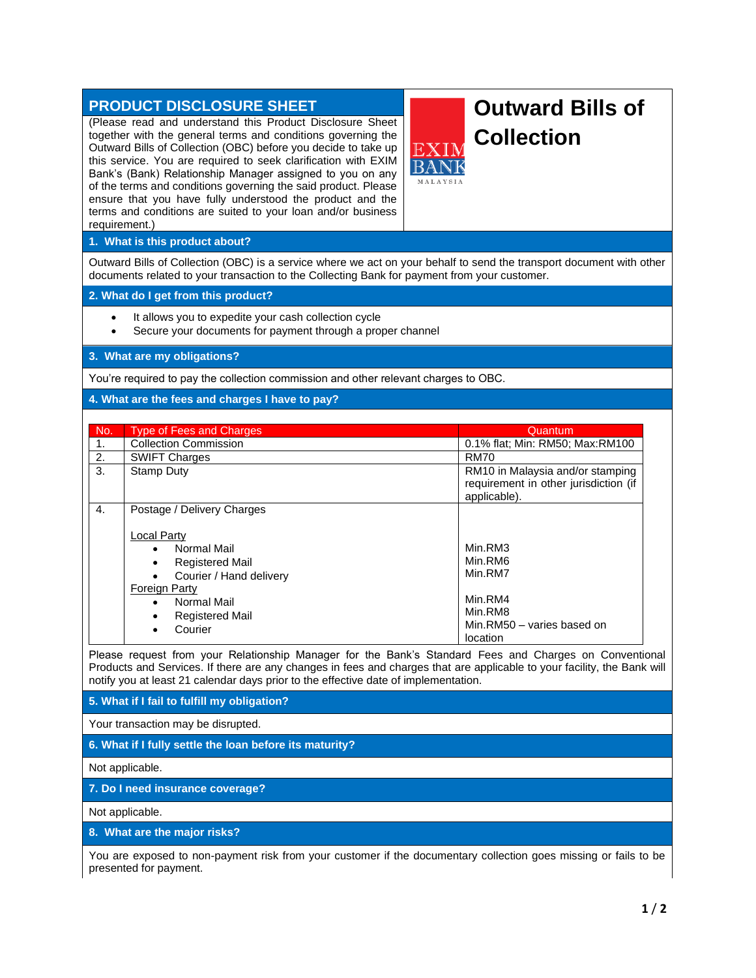# **PRODUCT DISCLOSURE SHEET**

(Please read and understand this Product Disclosure Sheet together with the general terms and conditions governing the Outward Bills of Collection (OBC) before you decide to take up this service. You are required to seek clarification with EXIM Bank's (Bank) Relationship Manager assigned to you on any of the terms and conditions governing the said product. Please ensure that you have fully understood the product and the terms and conditions are suited to your loan and/or business requirement.)

# **Outward Bills of Collection**

**MALAVSIA** 

## **1. What is this product about?**

Outward Bills of Collection (OBC) is a service where we act on your behalf to send the transport document with other documents related to your transaction to the Collecting Bank for payment from your customer.

# **2. What do I get from this product?**

- It allows you to expedite your cash collection cycle
- Secure your documents for payment through a proper channel

## **3. What are my obligations?**

You're required to pay the collection commission and other relevant charges to OBC.

## **4. What are the fees and charges I have to pay?**

| No.              | <b>Type of Fees and Charges</b>                                                                                                                                                                                                       | Quantum                                                                                       |
|------------------|---------------------------------------------------------------------------------------------------------------------------------------------------------------------------------------------------------------------------------------|-----------------------------------------------------------------------------------------------|
| 1.               | <b>Collection Commission</b>                                                                                                                                                                                                          | 0.1% flat; Min: RM50; Max:RM100                                                               |
| 2.               | <b>SWIFT Charges</b>                                                                                                                                                                                                                  | <b>RM70</b>                                                                                   |
| 3.               | Stamp Duty                                                                                                                                                                                                                            | RM10 in Malaysia and/or stamping<br>requirement in other jurisdiction (if<br>applicable).     |
| $\overline{4}$ . | Postage / Delivery Charges<br>Local Party<br>Normal Mail<br><b>Registered Mail</b><br>$\bullet$<br>Courier / Hand delivery<br><b>Foreign Party</b><br>Normal Mail<br>$\bullet$<br><b>Registered Mail</b><br>$\bullet$<br>Courier<br>٠ | Min.RM3<br>Min.RM6<br>Min.RM7<br>Min.RM4<br>Min.RM8<br>Min.RM50 - varies based on<br>location |

Please request from your Relationship Manager for the Bank's Standard Fees and Charges on Conventional Products and Services. If there are any changes in fees and charges that are applicable to your facility, the Bank will notify you at least 21 calendar days prior to the effective date of implementation.

**5. What if I fail to fulfill my obligation?**

Your transaction may be disrupted.

**6. What if I fully settle the loan before its maturity?**

Not applicable.

**7. Do I need insurance coverage?**

Not applicable.

**8. What are the major risks?**

You are exposed to non-payment risk from your customer if the documentary collection goes missing or fails to be presented for payment.